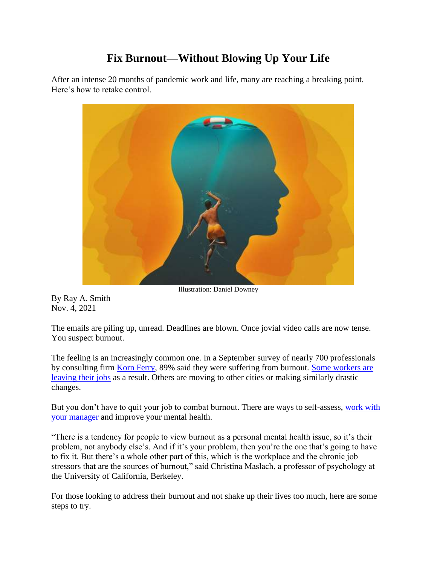# **Fix Burnout—Without Blowing Up Your Life**

After an intense 20 months of pandemic work and life, many are reaching a breaking point. Here's how to retake control.



Illustration: Daniel Downey

By Ray A. Smith Nov. 4, 2021

The emails are piling up, unread. Deadlines are blown. Once jovial video calls are now tense. You suspect burnout.

The feeling is an increasingly common one. In a September survey of nearly 700 professionals by consulting firm [Korn Ferry,](https://www.wsj.com/market-data/quotes/KFY) 89% said they were suffering from burnout. [Some workers are](https://www.wsj.com/articles/whats-driving-americas-workers-to-leave-jobs-in-record-numbers-11634312414?mod=article_inline)  [leaving their jobs](https://www.wsj.com/articles/whats-driving-americas-workers-to-leave-jobs-in-record-numbers-11634312414?mod=article_inline) as a result. Others are moving to other cities or making similarly drastic changes.

But you don't have to quit your job to combat burnout. There are ways to self-assess, [work with](https://www.wsj.com/articles/remote-work-is-the-new-signing-bonus-11624680029?mod=article_inline)  [your manager](https://www.wsj.com/articles/remote-work-is-the-new-signing-bonus-11624680029?mod=article_inline) and improve your mental health.

"There is a tendency for people to view burnout as a personal mental health issue, so it's their problem, not anybody else's. And if it's your problem, then you're the one that's going to have to fix it. But there's a whole other part of this, which is the workplace and the chronic job stressors that are the sources of burnout," said Christina Maslach, a professor of psychology at the University of California, Berkeley.

For those looking to address their burnout and not shake up their lives too much, here are some steps to try.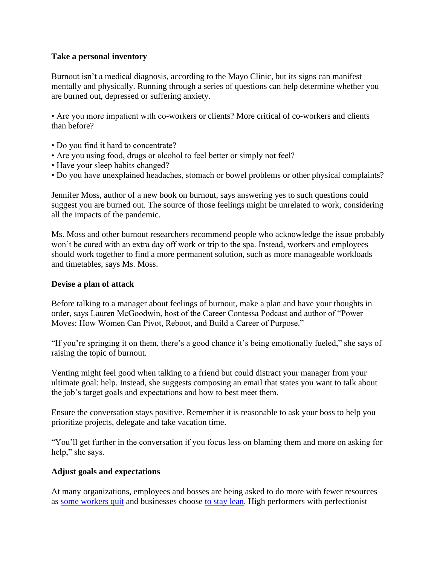## **Take a personal inventory**

Burnout isn't a medical diagnosis, according to the Mayo Clinic, but its signs can manifest mentally and physically. Running through a series of questions can help determine whether you are burned out, depressed or suffering anxiety.

• Are you more impatient with co-workers or clients? More critical of co-workers and clients than before?

- Do you find it hard to concentrate?
- Are you using food, drugs or alcohol to feel better or simply not feel?
- Have your sleep habits changed?
- Do you have unexplained headaches, stomach or bowel problems or other physical complaints?

Jennifer Moss, author of a new book on burnout, says answering yes to such questions could suggest you are burned out. The source of those feelings might be unrelated to work, considering all the impacts of the pandemic.

Ms. Moss and other burnout researchers recommend people who acknowledge the issue probably won't be cured with an extra day off work or trip to the spa. Instead, workers and employees should work together to find a more permanent solution, such as more manageable workloads and timetables, says Ms. Moss.

## **Devise a plan of attack**

Before talking to a manager about feelings of burnout, make a plan and have your thoughts in order, says Lauren McGoodwin, host of the Career Contessa Podcast and author of "Power Moves: How Women Can Pivot, Reboot, and Build a Career of Purpose."

"If you're springing it on them, there's a good chance it's being emotionally fueled," she says of raising the topic of burnout.

Venting might feel good when talking to a friend but could distract your manager from your ultimate goal: help. Instead, she suggests composing an email that states you want to talk about the job's target goals and expectations and how to best meet them.

Ensure the conversation stays positive. Remember it is reasonable to ask your boss to help you prioritize projects, delegate and take vacation time.

"You'll get further in the conversation if you focus less on blaming them and more on asking for help," she says.

#### **Adjust goals and expectations**

At many organizations, employees and bosses are being asked to do more with fewer resources as [some workers quit](https://www.wsj.com/articles/forget-going-back-to-the-officepeople-are-just-quitting-instead-11623576602?mod=article_inline) and businesses choose [to stay lean.](https://www.wsj.com/articles/many-jobs-lost-during-the-coronavirus-pandemic-just-arent-coming-back-11626341401?mod=article_inline) High performers with perfectionist